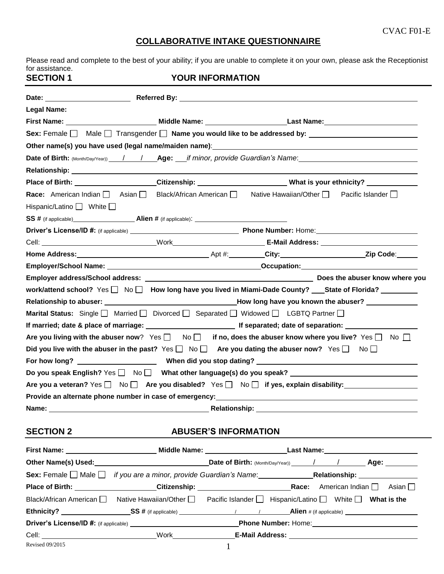and a

# **COLLABORATIVE INTAKE QUESTIONNAIRE**

Please read and complete to the best of your ability; if you are unable to complete it on your own, please ask the Receptionist for assistance. **SECTION 1** YOUR INFORMATION

| <b>Legal Name:</b>                                                                                                                    |  |  |  |
|---------------------------------------------------------------------------------------------------------------------------------------|--|--|--|
|                                                                                                                                       |  |  |  |
| Sex: Female   Male   Transgender   Name you would like to be addressed by: ________________________                                   |  |  |  |
|                                                                                                                                       |  |  |  |
| Date of Birth: (Month/Day/Year)) / / <b>Age:</b> __if minor, provide Guardian's Name:_________________________________                |  |  |  |
|                                                                                                                                       |  |  |  |
| Place of Birth:_____________________Citizenship:______________________What is your ethnicity? ____________                            |  |  |  |
| Race: American Indian $\Box$ Asian $\Box$ Black/African American $\Box$ Native Hawaiian/Other $\Box$ Pacific Islander $\Box$          |  |  |  |
| Hispanic/Latino $\Box$ White $\Box$                                                                                                   |  |  |  |
|                                                                                                                                       |  |  |  |
|                                                                                                                                       |  |  |  |
|                                                                                                                                       |  |  |  |
|                                                                                                                                       |  |  |  |
|                                                                                                                                       |  |  |  |
|                                                                                                                                       |  |  |  |
| work/attend school? Yes □ No □ How long have you lived in Miami-Dade County? ___State of Florida? ________                            |  |  |  |
|                                                                                                                                       |  |  |  |
| <b>Marital Status:</b> Single $\Box$ Married $\Box$ Divorced $\Box$ Separated $\Box$ Widowed $\Box$ LGBTQ Partner $\Box$              |  |  |  |
| If married; date & place of marriage: [2012] If separated; date of separation: 2022                                                   |  |  |  |
| Are you living with the abuser now? Yes $\square$ No $\square$ if no, does the abuser know where you live? Yes $\square$ No $\square$ |  |  |  |
| Did you live with the abuser in the past? Yes $\Box$ No $\Box$ Are you dating the abuser now? Yes $\Box$ No $\Box$                    |  |  |  |
|                                                                                                                                       |  |  |  |
| Do you speak English? Yes □ No □ What other language(s) do you speak? _____________________________                                   |  |  |  |
| Are you a veteran? Yes $\Box$ No $\Box$ Are you disabled? Yes $\Box$ No $\Box$ if yes, explain disability:                            |  |  |  |
| Provide an alternate phone number in case of emergency:__________________________                                                     |  |  |  |
|                                                                                                                                       |  |  |  |

# **SECTION 2 ABUSER'S INFORMATION**

|                 | Other Name(s) Used:<br><u>Detect of the contract of the contract of the contract of the contract of the contract of the contract of the contract of the contract of the contract of the contract of the contract of the contract o</u> | Date of Birth: (Month/Day/Year))   / / Age: Age:                                                                                   |
|-----------------|----------------------------------------------------------------------------------------------------------------------------------------------------------------------------------------------------------------------------------------|------------------------------------------------------------------------------------------------------------------------------------|
|                 |                                                                                                                                                                                                                                        | Sex: Female Male if you are a minor, provide Guardian's Name: Relationship: Relationship:                                          |
|                 |                                                                                                                                                                                                                                        | Asian I I                                                                                                                          |
|                 |                                                                                                                                                                                                                                        | Black/African American $\Box$ Native Hawaiian/Other $\Box$ Pacific Islander $\Box$ Hispanic/Latino $\Box$ White $\Box$ What is the |
|                 |                                                                                                                                                                                                                                        |                                                                                                                                    |
|                 |                                                                                                                                                                                                                                        | Phone Number: Home: 1990 March 2010 March 2010                                                                                     |
|                 |                                                                                                                                                                                                                                        |                                                                                                                                    |
| Revised 09/2015 |                                                                                                                                                                                                                                        |                                                                                                                                    |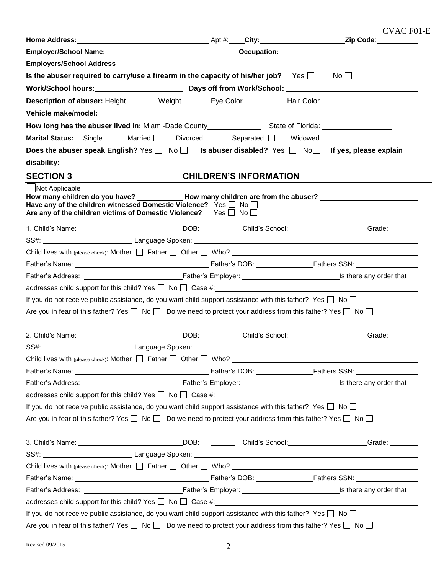CVAC F01-E

| Is the abuser required to carry/use a firearm in the capacity of his/her job? Yes $\Box$ No $\Box$                                                       |                               |                                                                                                                                                                                                                                |
|----------------------------------------------------------------------------------------------------------------------------------------------------------|-------------------------------|--------------------------------------------------------------------------------------------------------------------------------------------------------------------------------------------------------------------------------|
|                                                                                                                                                          |                               |                                                                                                                                                                                                                                |
|                                                                                                                                                          |                               | Description of abuser: Height _______ Weight _______ Eye Color __________Hair Color _________________________                                                                                                                  |
|                                                                                                                                                          |                               |                                                                                                                                                                                                                                |
|                                                                                                                                                          |                               |                                                                                                                                                                                                                                |
| <b>Marital Status:</b> Single   Married   Divorced   Separated   Widowed                                                                                 |                               |                                                                                                                                                                                                                                |
|                                                                                                                                                          |                               | Does the abuser speak English? Yes $\Box$ No $\Box$ Is abuser disabled? Yes $\Box$ No $\Box$ If yes, please explain                                                                                                            |
|                                                                                                                                                          |                               |                                                                                                                                                                                                                                |
| <b>SECTION 3</b>                                                                                                                                         | <b>CHILDREN'S INFORMATION</b> |                                                                                                                                                                                                                                |
| Not Applicable                                                                                                                                           |                               |                                                                                                                                                                                                                                |
| Have any of the children witnessed Domestic Violence? Yes $\Box$ No $\Box$<br>Are any of the children victims of Domestic Violence? Yes $\Box$ No $\Box$ |                               | How many children do you have? ______________How many children are from the abuser? _________________________                                                                                                                  |
|                                                                                                                                                          |                               | 1. Child's Name: Campaign Contract Contract Contract Contract Contract Contract Contract Contract Contract Contract Contract Contract Contract Contract Contract Contract Contract Contract Contract Contract Contract Contrac |
|                                                                                                                                                          |                               |                                                                                                                                                                                                                                |
|                                                                                                                                                          |                               |                                                                                                                                                                                                                                |
|                                                                                                                                                          |                               |                                                                                                                                                                                                                                |
|                                                                                                                                                          |                               |                                                                                                                                                                                                                                |
|                                                                                                                                                          |                               | $addresses$ child support for this child? Yes $\Box$ No $\Box$ Case #: $\Box$ Decrees 200 management control of the support for this child? Yes $\Box$ No $\Box$ Case #:                                                       |
| If you do not receive public assistance, do you want child support assistance with this father? Yes $\Box$ No $\Box$                                     |                               |                                                                                                                                                                                                                                |
| Are you in fear of this father? Yes $\Box$ No $\Box$ Do we need to protect your address from this father? Yes $\Box$ No $\Box$                           |                               |                                                                                                                                                                                                                                |
| 2. Child's Name: ________________________________DOB: __________Child's School:____________________                                                      |                               | _Grade: ________                                                                                                                                                                                                               |
|                                                                                                                                                          |                               |                                                                                                                                                                                                                                |
| Child lives with (please check): Mother   Father   Other   Who?                                                                                          |                               |                                                                                                                                                                                                                                |
|                                                                                                                                                          |                               |                                                                                                                                                                                                                                |
|                                                                                                                                                          |                               |                                                                                                                                                                                                                                |
|                                                                                                                                                          |                               |                                                                                                                                                                                                                                |
| If you do not receive public assistance, do you want child support assistance with this father? Yes $\Box$ No $\Box$                                     |                               |                                                                                                                                                                                                                                |
| Are you in fear of this father? Yes $\Box$ No $\Box$ Do we need to protect your address from this father? Yes $\Box$ No $\Box$                           |                               |                                                                                                                                                                                                                                |
|                                                                                                                                                          |                               | 3. Child's Name: Cameranter Control Control Control Child's School: Child's School: Cameranter Control Child's School:                                                                                                         |
|                                                                                                                                                          |                               |                                                                                                                                                                                                                                |
|                                                                                                                                                          |                               | Child lives with (please check): Mother $\Box$ Father $\Box$ Other $\Box$ Who?                                                                                                                                                 |
|                                                                                                                                                          |                               |                                                                                                                                                                                                                                |
|                                                                                                                                                          |                               |                                                                                                                                                                                                                                |
|                                                                                                                                                          |                               |                                                                                                                                                                                                                                |
| If you do not receive public assistance, do you want child support assistance with this father? Yes $\Box$ No $\Box$                                     |                               |                                                                                                                                                                                                                                |
| Are you in fear of this father? Yes $\Box$ No $\Box$ Do we need to protect your address from this father? Yes $\Box$ No $\Box$                           |                               |                                                                                                                                                                                                                                |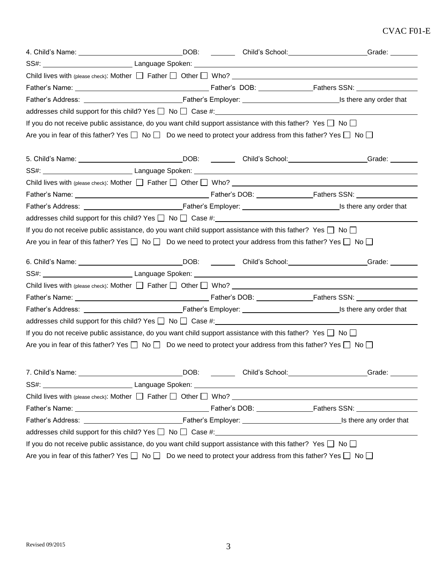## CVAC F01-E

|                                                                                                                                                                                                                                                                                                                                                                                |  | 4. Child's Name: Campaign Contract Contract Contract Contract Contract Contract Contract Contract Contract Contract Contract Contract Contract Contract Contract Contract Contract Contract Contract Contract Contract Contrac |
|--------------------------------------------------------------------------------------------------------------------------------------------------------------------------------------------------------------------------------------------------------------------------------------------------------------------------------------------------------------------------------|--|--------------------------------------------------------------------------------------------------------------------------------------------------------------------------------------------------------------------------------|
|                                                                                                                                                                                                                                                                                                                                                                                |  |                                                                                                                                                                                                                                |
| Child lives with (please check): Mother $\Box$ Father $\Box$ Other $\Box$ Who?                                                                                                                                                                                                                                                                                                 |  |                                                                                                                                                                                                                                |
|                                                                                                                                                                                                                                                                                                                                                                                |  |                                                                                                                                                                                                                                |
|                                                                                                                                                                                                                                                                                                                                                                                |  |                                                                                                                                                                                                                                |
| addresses child support for this child? Yes $\Box$ No $\Box$ Case #:                                                                                                                                                                                                                                                                                                           |  |                                                                                                                                                                                                                                |
| If you do not receive public assistance, do you want child support assistance with this father? Yes $\Box$ No $\Box$                                                                                                                                                                                                                                                           |  |                                                                                                                                                                                                                                |
| Are you in fear of this father? Yes $\Box$ No $\Box$ Do we need to protect your address from this father? Yes $\Box$ No $\Box$                                                                                                                                                                                                                                                 |  |                                                                                                                                                                                                                                |
| 5. Child's Name: ________________________________DOB: ___________ Child's School:___________________                                                                                                                                                                                                                                                                           |  | Grade: _______                                                                                                                                                                                                                 |
|                                                                                                                                                                                                                                                                                                                                                                                |  |                                                                                                                                                                                                                                |
| Child lives with (please check): Mother $\Box$ Father $\Box$ Other $\Box$ Who?                                                                                                                                                                                                                                                                                                 |  |                                                                                                                                                                                                                                |
|                                                                                                                                                                                                                                                                                                                                                                                |  |                                                                                                                                                                                                                                |
|                                                                                                                                                                                                                                                                                                                                                                                |  |                                                                                                                                                                                                                                |
|                                                                                                                                                                                                                                                                                                                                                                                |  |                                                                                                                                                                                                                                |
| If you do not receive public assistance, do you want child support assistance with this father? Yes $\Box$ No $\Box$                                                                                                                                                                                                                                                           |  |                                                                                                                                                                                                                                |
| Are you in fear of this father? Yes $\Box$ No $\Box$ Do we need to protect your address from this father? Yes $\Box$ No $\Box$                                                                                                                                                                                                                                                 |  |                                                                                                                                                                                                                                |
| 6. Child's Name: _________________________________DOB: child's School: _____________________________                                                                                                                                                                                                                                                                           |  | Grade: _______                                                                                                                                                                                                                 |
|                                                                                                                                                                                                                                                                                                                                                                                |  |                                                                                                                                                                                                                                |
| Child lives with (please check): Mother $\Box$ Father $\Box$ Other $\Box$ Who?                                                                                                                                                                                                                                                                                                 |  |                                                                                                                                                                                                                                |
|                                                                                                                                                                                                                                                                                                                                                                                |  |                                                                                                                                                                                                                                |
|                                                                                                                                                                                                                                                                                                                                                                                |  |                                                                                                                                                                                                                                |
|                                                                                                                                                                                                                                                                                                                                                                                |  |                                                                                                                                                                                                                                |
|                                                                                                                                                                                                                                                                                                                                                                                |  |                                                                                                                                                                                                                                |
|                                                                                                                                                                                                                                                                                                                                                                                |  |                                                                                                                                                                                                                                |
|                                                                                                                                                                                                                                                                                                                                                                                |  |                                                                                                                                                                                                                                |
|                                                                                                                                                                                                                                                                                                                                                                                |  |                                                                                                                                                                                                                                |
|                                                                                                                                                                                                                                                                                                                                                                                |  | DOB: Child's School: Child's School: Crade: Crade:                                                                                                                                                                             |
|                                                                                                                                                                                                                                                                                                                                                                                |  |                                                                                                                                                                                                                                |
|                                                                                                                                                                                                                                                                                                                                                                                |  |                                                                                                                                                                                                                                |
|                                                                                                                                                                                                                                                                                                                                                                                |  |                                                                                                                                                                                                                                |
|                                                                                                                                                                                                                                                                                                                                                                                |  |                                                                                                                                                                                                                                |
| If you do not receive public assistance, do you want child support assistance with this father? Yes $\Box$ No $\Box$<br>Are you in fear of this father? Yes $\Box$ No $\Box$ Do we need to protect your address from this father? Yes $\Box$ No $\Box$<br>If you do not receive public assistance, do you want child support assistance with this father? Yes $\Box$ No $\Box$ |  |                                                                                                                                                                                                                                |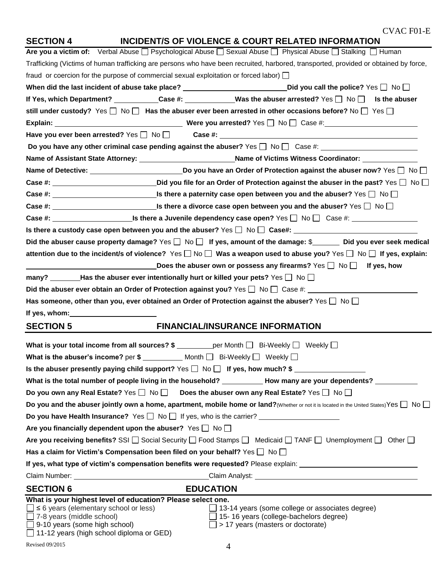| <b>SECTION 4</b>                                                                                                                                                                                                               | <b>INCIDENT/S OF VIOLENCE &amp; COURT RELATED INFORMATION</b>                                                                                                                              |
|--------------------------------------------------------------------------------------------------------------------------------------------------------------------------------------------------------------------------------|--------------------------------------------------------------------------------------------------------------------------------------------------------------------------------------------|
|                                                                                                                                                                                                                                | Are you a victim of: Verbal Abuse □ Psychological Abuse □ Sexual Abuse □ Physical Abuse □ Stalking □ Human                                                                                 |
|                                                                                                                                                                                                                                | Trafficking (Victims of human trafficking are persons who have been recruited, harbored, transported, provided or obtained by force,                                                       |
|                                                                                                                                                                                                                                | fraud or coercion for the purpose of commercial sexual exploitation or forced labor) $\Box$                                                                                                |
|                                                                                                                                                                                                                                | When did the last incident of abuse take place? $\_\_\_\_\_\_\_\_\_$ Did you call the police? Yes $\_\_\_\_\_$ No $\_\_\_\_\_\_\$                                                          |
|                                                                                                                                                                                                                                | If Yes, which Department? __________Case #: ___________Was the abuser arrested? Yes □ No □ Is the abuser                                                                                   |
|                                                                                                                                                                                                                                | still under custody? Yes $\Box$ No $\Box$ Has the abuser ever been arrested in other occasions before? No $\Box$ Yes $\Box$                                                                |
|                                                                                                                                                                                                                                |                                                                                                                                                                                            |
|                                                                                                                                                                                                                                |                                                                                                                                                                                            |
|                                                                                                                                                                                                                                |                                                                                                                                                                                            |
|                                                                                                                                                                                                                                | Name of Assistant State Attorney: __________________________Name of Victims Witness Coordinator: _____________                                                                             |
|                                                                                                                                                                                                                                | Name of Detective: _____________________________Do you have an Order of Protection against the abuser now? Yes □ No □                                                                      |
|                                                                                                                                                                                                                                | Case #: _______________________________Did you file for an Order of Protection against the abuser in the past? Yes □ No □                                                                  |
|                                                                                                                                                                                                                                | Case #: $\Box$ No $\Box$ Similar there a paternity case open between you and the abuser? Yes $\Box$ No $\Box$                                                                              |
|                                                                                                                                                                                                                                |                                                                                                                                                                                            |
|                                                                                                                                                                                                                                | Case #: _________________________Is there a Juvenile dependency case open? Yes □ No □ Case #: _________________                                                                            |
|                                                                                                                                                                                                                                | Is there a custody case open between you and the abuser? Yes $\Box$ No $\Box$ Case#:                                                                                                       |
|                                                                                                                                                                                                                                | Did the abuser cause property damage? Yes $\Box$ No $\Box$ If yes, amount of the damage: \$<br>Did you ever seek medical                                                                   |
|                                                                                                                                                                                                                                | attention due to the incident/s of violence? Yes $\Box$ No $\Box$ Was a weapon used to abuse you? Yes $\Box$ No $\Box$ If yes, explain:                                                    |
|                                                                                                                                                                                                                                | Does the abuser own or possess any firearms? Yes $\Box$ No $\Box$ If yes, how                                                                                                              |
|                                                                                                                                                                                                                                | many? __________Has the abuser ever intentionally hurt or killed your pets? Yes $\Box$ No $\Box$                                                                                           |
|                                                                                                                                                                                                                                | Did the abuser ever obtain an Order of Protection against you? Yes $\Box$ No $\Box$ Case #: $\Box$                                                                                         |
|                                                                                                                                                                                                                                | Has someone, other than you, ever obtained an Order of Protection against the abuser? Yes $\square$ No $\square$                                                                           |
| If yes, whom: University of the same of the same of the same of the same of the same of the same of the same of the same of the same of the same of the same of the same of the same of the same of the same of the same of th |                                                                                                                                                                                            |
| <b>SECTION 5</b>                                                                                                                                                                                                               | <b>FINANCIAL/INSURANCE INFORMATION</b>                                                                                                                                                     |
|                                                                                                                                                                                                                                | What is your total income from all sources? $\frac{1}{2}$ per Month $\Box$ Bi-Weekly $\Box$ Weekly $\Box$                                                                                  |
|                                                                                                                                                                                                                                | What is the abuser's income? per $\frac{2}{3}$ Month $\Box$ Bi-Weekly $\Box$ Weekly $\Box$                                                                                                 |
|                                                                                                                                                                                                                                | Is the abuser presently paying child support? Yes $\Box$ No $\Box$ If yes, how much? \$                                                                                                    |
|                                                                                                                                                                                                                                | What is the total number of people living in the household? ___________ How many are your dependents? ________                                                                             |
|                                                                                                                                                                                                                                | Do you own any Real Estate? Yes $\square$ No $\square$ Does the abuser own any Real Estate? Yes $\square$ No $\square$                                                                     |
|                                                                                                                                                                                                                                | Do you and the abuser jointly own a home, apartment, mobile home or land? (Whether or not it is located in the United States) Yes $\Box$ No $\Box$                                         |
|                                                                                                                                                                                                                                | Do you have Health Insurance? Yes $\Box$ No $\Box$ If yes, who is the carrier? $\Box$                                                                                                      |
|                                                                                                                                                                                                                                | Are you financially dependent upon the abuser? Yes $\Box$ No $\Box$                                                                                                                        |
|                                                                                                                                                                                                                                | Are you receiving benefits? SSI $\Box$ Social Security $\Box$ Food Stamps $\Box$ Medicaid $\Box$ TANF $\Box$ Unemployment $\Box$ Other $\Box$                                              |
|                                                                                                                                                                                                                                | Has a claim for Victim's Compensation been filed on your behalf? Yes $\Box$ No $\Box$                                                                                                      |
|                                                                                                                                                                                                                                | If yes, what type of victim's compensation benefits were requested? Please explain: __________________________                                                                             |
|                                                                                                                                                                                                                                |                                                                                                                                                                                            |
|                                                                                                                                                                                                                                |                                                                                                                                                                                            |
| <b>SECTION 6</b>                                                                                                                                                                                                               | <b>EDUCATION</b><br>What is your highest level of education? Please select one.                                                                                                            |
| $\leq$ 6 years (elementary school or less)<br>$\Box$ 7-8 years (middle school)<br>9-10 years (some high school)                                                                                                                | □ 13-14 years (some college or associates degree)<br>$\Box$ 15-16 years (college-bachelors degree)<br>> 17 years (masters or doctorate)<br>$\Box$ 11-12 years (high school diploma or GED) |